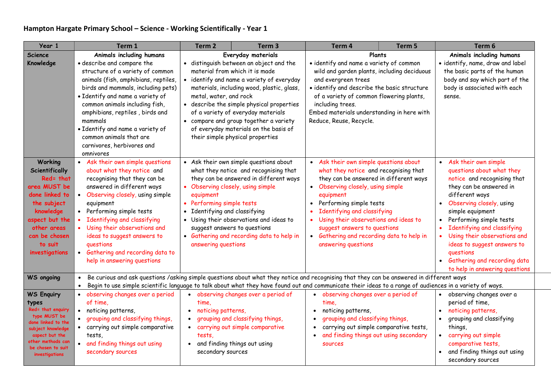## Hampton Hargate Primary School – Science - Working Scientifically - Year 1

| Year 1                                                                                                                                                                                   | Term 1                                                                                                                                                                                                                                                                                                                                                                                                 | Term <sub>2</sub>                                                                                         | Term <sub>3</sub>                                                                                                                                                                                                                                                                                                                                                                                    | Term 4                                                                                                                                                                                                                                                                                                                                                                                                       | Term 5 | Term 6                                                                                                                                                                                                                                                                                                                                                                                             |
|------------------------------------------------------------------------------------------------------------------------------------------------------------------------------------------|--------------------------------------------------------------------------------------------------------------------------------------------------------------------------------------------------------------------------------------------------------------------------------------------------------------------------------------------------------------------------------------------------------|-----------------------------------------------------------------------------------------------------------|------------------------------------------------------------------------------------------------------------------------------------------------------------------------------------------------------------------------------------------------------------------------------------------------------------------------------------------------------------------------------------------------------|--------------------------------------------------------------------------------------------------------------------------------------------------------------------------------------------------------------------------------------------------------------------------------------------------------------------------------------------------------------------------------------------------------------|--------|----------------------------------------------------------------------------------------------------------------------------------------------------------------------------------------------------------------------------------------------------------------------------------------------------------------------------------------------------------------------------------------------------|
| <b>Science</b><br>Knowledge                                                                                                                                                              | Animals including humans<br>· describe and compare the<br>structure of a variety of common<br>animals (fish, amphibians, reptiles,<br>birds and mammals, including pets)<br>· Identify and name a variety of<br>common animals including fish,<br>amphibians, reptiles, birds and<br>mammals<br>· Identify and name a variety of<br>common animals that are<br>carnivores, herbivores and<br>omnivores | metal, water, and rock                                                                                    | Everyday materials<br>· distinguish between an object and the<br>material from which it is made<br>• identify and name a variety of everyday<br>materials, including wood, plastic, glass,<br>• describe the simple physical properties<br>of a variety of everyday materials<br>• compare and group together a variety<br>of everyday materials on the basis of<br>their simple physical properties | · identify and name a variety of common<br>wild and garden plants, including deciduous<br>and evergreen trees<br>· identify and describe the basic structure<br>of a variety of common flowering plants,<br>including trees.<br>Embed materials understanding in here with<br>Reduce, Reuse, Recycle.                                                                                                        | Plants | Animals including humans<br>· identify, name, draw and label<br>the basic parts of the human<br>body and say which part of the<br>body is associated with each<br>sense.                                                                                                                                                                                                                           |
| Working<br>Scientifically<br>Red= that<br>area MUST be<br>done linked to<br>the subject<br>knowledge<br>aspect but the<br>other areas<br>can be chosen<br>to suit<br>investigations      | • Ask their own simple questions<br>about what they notice and<br>recognising that they can be<br>answered in different ways<br>• Observing closely, using simple<br>equipment<br>Performing simple tests<br>Identifying and classifying<br>Using their observations and<br>ideas to suggest answers to<br>questions<br>• Gathering and recording data to<br>help in answering questions               | equipment<br>Performing simple tests<br>$\bullet$<br>• Identifying and classifying<br>answering questions | • Ask their own simple questions about<br>what they notice and recognising that<br>they can be answered in different ways<br>Observing closely, using simple<br>• Using their observations and ideas to<br>suggest answers to questions<br>• Gathering and recording data to help in                                                                                                                 | • Ask their own simple questions about<br>what they notice and recognising that<br>they can be answered in different ways<br>• Observing closely, using simple<br>equipment<br>Performing simple tests<br>$\bullet$<br>Identifying and classifying<br>Using their observations and ideas to<br>$\bullet$<br>suggest answers to questions<br>• Gathering and recording data to help in<br>answering questions |        | Ask their own simple<br>$\bullet$<br>questions about what they<br>notice and recognising that<br>they can be answered in<br>different ways<br>Observing closely, using<br>simple equipment<br>Performing simple tests<br>Identifying and classifying<br>Using their observations and<br>ideas to suggest answers to<br>questions<br>Gathering and recording data<br>to help in answering questions |
| <b>WS</b> ongoing                                                                                                                                                                        | Be curious and ask questions /asking simple questions about what they notice and recognising that they can be answered in different ways<br>Begin to use simple scientific language to talk about what they have found out and communicate their ideas to a range of audiences in a variety of ways.                                                                                                   |                                                                                                           |                                                                                                                                                                                                                                                                                                                                                                                                      |                                                                                                                                                                                                                                                                                                                                                                                                              |        |                                                                                                                                                                                                                                                                                                                                                                                                    |
| <b>WS Enquiry</b><br>types<br>Red= that enquiry<br>type MUST be<br>done linked to the<br>subject knowledge<br>aspect but the<br>other methods can<br>be chosen to suit<br>investigations | • observing changes over a period<br>of time,<br>noticing patterns,<br>$\bullet$<br>grouping and classifying things,<br>• carrying out simple comparative<br>tests.<br>• and finding things out using<br>secondary sources                                                                                                                                                                             | time.<br>noticing patterns,<br>$\bullet$<br>$\bullet$<br>tests,<br>secondary sources                      | • observing changes over a period of<br>grouping and classifying things,<br>carrying out simple comparative<br>• and finding things out using                                                                                                                                                                                                                                                        | • observing changes over a period of<br>time.<br>noticing patterns,<br>$\bullet$<br>grouping and classifying things,<br>carrying out simple comparative tests,<br>$\bullet$<br>and finding things out using secondary<br><b>SOUPCES</b>                                                                                                                                                                      |        | • observing changes over a<br>period of time,<br>noticing patterns,<br>grouping and classifying<br>things,<br>• carrying out simple<br>comparative tests,<br>and finding things out using<br>secondary sources                                                                                                                                                                                     |